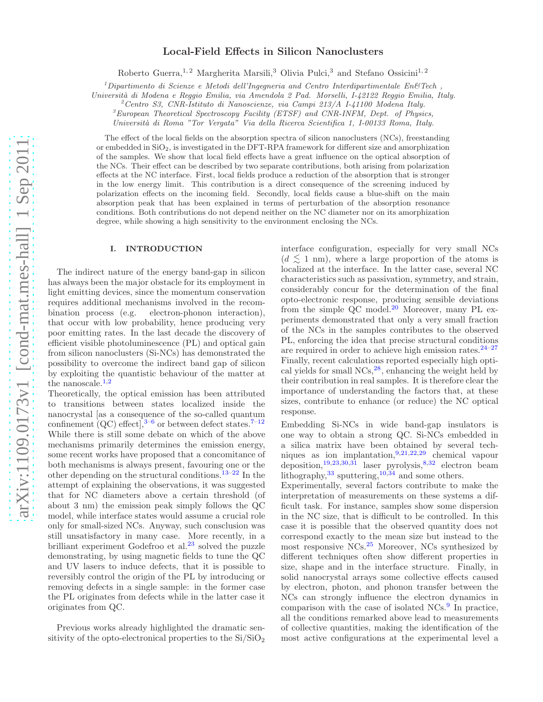# Local-Field Effects in Silicon Nanoclusters

Roberto Guerra,<sup>1,2</sup> Margherita Marsili,<sup>3</sup> Olivia Pulci,<sup>3</sup> and Stefano Ossicini<sup>1,2</sup>

<sup>1</sup>*Dipartimento di Scienze e Metodi dell'Ingegneria and Centro Interdipartimentale En&Tech ,*

*Universit`a di Modena e Reggio Emilia, via Amendola 2 Pad. Morselli, I-42122 Reggio Emilia, Italy.*

<sup>2</sup>*Centro S3, CNR-Istituto di Nanoscienze, via Campi 213/A I-41100 Modena Italy.*

<sup>3</sup>*European Theoretical Spectroscopy Facility (ETSF) and CNR-INFM, Dept. of Physics,*

*Universit`a di Roma "Tor Vergata" Via della Ricerca Scientifica 1, I-00133 Roma, Italy.*

The effect of the local fields on the absorption spectra of silicon nanoclusters (NCs), freestanding or embedded in SiO2, is investigated in the DFT-RPA framework for different size and amorphization of the samples. We show that local field effects have a great influence on the optical absorption of the NCs. Their effect can be described by two separate contributions, both arising from polarization effects at the NC interface. First, local fields produce a reduction of the absorption that is stronger in the low energy limit. This contribution is a direct consequence of the screening induced by polarization effects on the incoming field. Secondly, local fields cause a blue-shift on the main absorption peak that has been explained in terms of perturbation of the absorption resonance conditions. Both contributions do not depend neither on the NC diameter nor on its amorphization degree, while showing a high sensitivity to the environment enclosing the NCs.

## I. INTRODUCTION

The indirect nature of the energy band-gap in silicon has always been the major obstacle for its employment in light emitting devices, since the momentum conservation requires additional mechanisms involved in the recombination process (e.g. electron-phonon interaction), that occur with low probability, hence producing very poor emitting rates. In the last decade the discovery of efficient visible photoluminescence (PL) and optical gain from silicon nanoclusters (Si-NCs) has demonstrated the possibility to overcome the indirect band gap of silicon by exploiting the quantistic behaviour of the matter at the nanoscale. $1,2$ 

Theoretically, the optical emission has been attributed to transitions between states localized inside the nanocrystal [as a consequence of the so-called quantum confinement  $(QC)$  effect],  $3-6$  or between defect states.  $7-12$ While there is still some debate on which of the above mechanisms primarily determines the emission energy, some recent works have proposed that a concomitance of both mechanisms is always present, favouring one or the other depending on the structural conditions.<sup>13–22</sup> In the attempt of explaining the observations, it was suggested that for NC diameters above a certain threshold (of about 3 nm) the emission peak simply follows the QC model, while interface states would assume a crucial role only for small-sized NCs. Anyway, such consclusion was still unsatisfactory in many case. More recently, in a brilliant experiment Godefroo et al.<sup>23</sup> solved the puzzle demonstrating, by using magnetic fields to tune the QC and UV lasers to induce defects, that it is possible to reversibly control the origin of the PL by introducing or removing defects in a single sample: in the former case the PL originates from defects while in the latter case it originates from QC.

Previous works already highlighted the dramatic sensitivity of the opto-electronical properties to the  $Si/SiO<sub>2</sub>$ 

interface configuration, especially for very small NCs  $(d \leq 1$  nm), where a large proportion of the atoms is localized at the interface. In the latter case, several NC characteristics such as passivation, symmetry, and strain, considerably concur for the determination of the final opto-electronic response, producing sensible deviations from the simple QC model. $20$  Moreover, many PL experiments demonstrated that only a very small fraction of the NCs in the samples contributes to the observed PL, enforcing the idea that precise structural conditions are required in order to achieve high emission rates. $24-27$ Finally, recent calculations reported especially high optical yields for small  $NCs$ , enhancing the weight held by their contribution in real samples. It is therefore clear the importance of understanding the factors that, at these sizes, contribute to enhance (or reduce) the NC optical response.

Embedding Si-NCs in wide band-gap insulators is one way to obtain a strong QC. Si-NCs embedded in a silica matrix have been obtained by several techniques as ion implantation,9,21,22,29 chemical vapour deposition,<sup>19,23,30,31</sup> laser pyrolysis,<sup>8,32</sup> electron beam lithography,  $33$  sputtering,  $10,34$  and some others.

Experimentally, several factors contribute to make the interpretation of measurements on these systems a difficult task. For instance, samples show some dispersion in the NC size, that is difficult to be controlled. In this case it is possible that the observed quantity does not correspond exactly to the mean size but instead to the most responsive NCs.<sup>25</sup> Moreover, NCs synthesized by different techniques often show different properties in size, shape and in the interface structure. Finally, in solid nanocrystal arrays some collective effects caused by electron, photon, and phonon transfer between the NCs can strongly influence the electron dynamics in comparison with the case of isolated NCs.<sup>9</sup> In practice, all the conditions remarked above lead to measurements of collective quantities, making the identification of the most active configurations at the experimental level a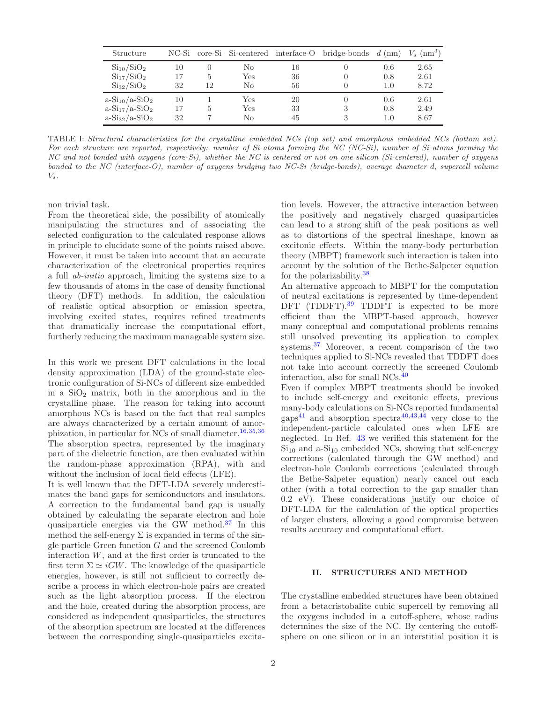| Structure           |    |    |     |    | $NC-Si$ core-Si Si-centered interface-O bridge-bonds d (nm) |     | $V_s$ (nm <sup>3</sup> ) |
|---------------------|----|----|-----|----|-------------------------------------------------------------|-----|--------------------------|
| $Si_{10}/SiO_2$     | 10 |    | Nο  | 16 |                                                             | 0.6 | 2.65                     |
| $\rm Si_{17}/SiO_2$ | 17 | 5  | Yes | 36 |                                                             | 0.8 | 2.61                     |
| $\rm Si_{32}/SiO_2$ | 32 | 12 | No  | 56 |                                                             | 1.0 | 8.72                     |
| $a-Si_{10}/a-SiO_2$ | 10 |    | Yes | 20 |                                                             | 0.6 | 2.61                     |
| $a-Si_{17}/a-SiO_2$ | 17 | 5  | Yes | 33 |                                                             | 0.8 | 2.49                     |
| $a-Si_{32}/a-SiO_2$ | 32 |    | Nο  | 45 |                                                             | 1.0 | 8.67                     |

TABLE I: *Structural characteristics for the crystalline embedded NCs (top set) and amorphous embedded NCs (bottom set). For each structure are reported, respectively: number of Si atoms forming the NC (NC-Si), number of Si atoms forming the NC and not bonded with oxygens (core-Si), whether the NC is centered or not on one silicon (Si-centered), number of oxygens bonded to the NC (interface-O), number of oxygens bridging two NC-Si (bridge-bonds), average diameter* d*, supercell volume* Vs*.*

non trivial task.

From the theoretical side, the possibility of atomically manipulating the structures and of associating the selected configuration to the calculated response allows in principle to elucidate some of the points raised above. However, it must be taken into account that an accurate characterization of the electronical properties requires a full ab-initio approach, limiting the systems size to a few thousands of atoms in the case of density functional theory (DFT) methods. In addition, the calculation of realistic optical absorption or emission spectra, involving excited states, requires refined treatments that dramatically increase the computational effort, furtherly reducing the maximum manageable system size.

In this work we present DFT calculations in the local density approximation (LDA) of the ground-state electronic configuration of Si-NCs of different size embedded in a  $SiO<sub>2</sub>$  matrix, both in the amorphous and in the crystalline phase. The reason for taking into account amorphous NCs is based on the fact that real samples are always characterized by a certain amount of amorphization, in particular for NCs of small diameter.16,35,36 The absorption spectra, represented by the imaginary part of the dielectric function, are then evaluated within the random-phase approximation (RPA), with and without the inclusion of local field effects (LFE).

It is well known that the DFT-LDA severely underestimates the band gaps for semiconductors and insulators. A correction to the fundamental band gap is usually obtained by calculating the separate electron and hole quasiparticle energies via the GW method.<sup>37</sup> In this method the self-energy  $\Sigma$  is expanded in terms of the single particle Green function G and the screened Coulomb interaction  $W$ , and at the first order is truncated to the first term  $\Sigma \simeq iGW$ . The knowledge of the quasiparticle energies, however, is still not sufficient to correctly describe a process in which electron-hole pairs are created such as the light absorption process. If the electron and the hole, created during the absorption process, are considered as independent quasiparticles, the structures of the absorption spectrum are located at the differences between the corresponding single-quasiparticles excita-

tion levels. However, the attractive interaction between the positively and negatively charged quasiparticles can lead to a strong shift of the peak positions as well as to distortions of the spectral lineshape, known as excitonic effects. Within the many-body perturbation theory (MBPT) framework such interaction is taken into account by the solution of the Bethe-Salpeter equation for the polarizability.<sup>38</sup>

An alternative approach to MBPT for the computation of neutral excitations is represented by time-dependent DFT (TDDFT). $39$  TDDFT is expected to be more efficient than the MBPT-based approach, however many conceptual and computational problems remains still unsolved preventing its application to complex systems.<sup>37</sup> Moreover, a recent comparison of the two techniques applied to Si-NCs revealed that TDDFT does not take into account correctly the screened Coulomb interaction, also for small NCs.<sup>40</sup>

Even if complex MBPT treatments should be invoked to include self-energy and excitonic effects, previous many-body calculations on Si-NCs reported fundamental gaps<sup>41</sup> and absorption spectra<sup>40,43,44</sup> very close to the independent-particle calculated ones when LFE are neglected. In Ref. 43 we verified this statement for the  $Si<sub>10</sub>$  and a- $Si<sub>10</sub>$  embedded NCs, showing that self-energy corrections (calculated through the GW method) and electron-hole Coulomb corrections (calculated through the Bethe-Salpeter equation) nearly cancel out each other (with a total correction to the gap smaller than 0.2 eV). These considerations justify our choice of DFT-LDA for the calculation of the optical properties of larger clusters, allowing a good compromise between results accuracy and computational effort.

### II. STRUCTURES AND METHOD

The crystalline embedded structures have been obtained from a betacristobalite cubic supercell by removing all the oxygens included in a cutoff-sphere, whose radius determines the size of the NC. By centering the cutoffsphere on one silicon or in an interstitial position it is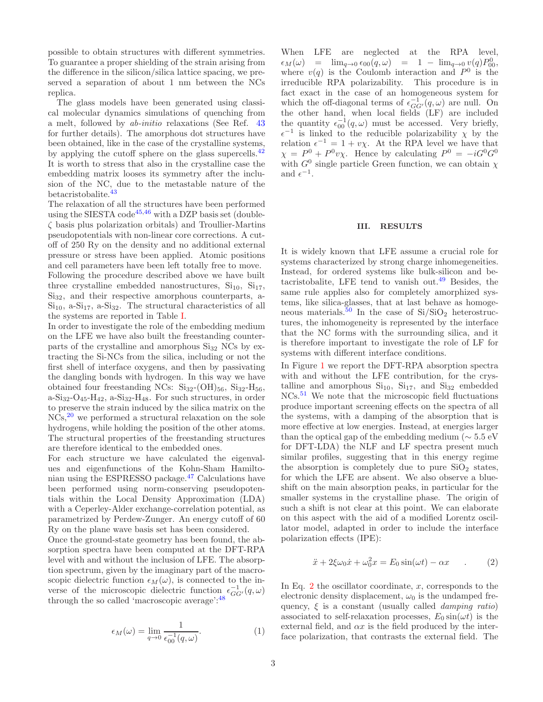possible to obtain structures with different symmetries. To guarantee a proper shielding of the strain arising from the difference in the silicon/silica lattice spacing, we preserved a separation of about 1 nm between the NCs replica.

The glass models have been generated using classical molecular dynamics simulations of quenching from a melt, followed by ab-initio relaxations (See Ref. 43 for further details). The amorphous dot structures have been obtained, like in the case of the crystalline systems, by applying the cutoff sphere on the glass supercells.<sup>42</sup> It is worth to stress that also in the crystalline case the embedding matrix looses its symmetry after the inclusion of the NC, due to the metastable nature of the betacristobalite.<sup>43</sup>

The relaxation of all the structures have been performed using the SIESTA code<sup>45,46</sup> with a DZP basis set (doubleζ basis plus polarization orbitals) and Troullier-Martins pseudopotentials with non-linear core corrections. A cutoff of 250 Ry on the density and no additional external pressure or stress have been applied. Atomic positions and cell parameters have been left totally free to move. Following the procedure described above we have built three crystalline embedded nanostructures,  $Si<sub>10</sub>$ ,  $Si<sub>17</sub>$ , Si<sub>32</sub>, and their respective amorphous counterparts, a- $Si<sub>10</sub>$ , a- $Si<sub>17</sub>$ , a- $Si<sub>32</sub>$ . The structural characteristics of all the systems are reported in Table I.

In order to investigate the role of the embedding medium on the LFE we have also built the freestanding counterparts of the crystalline and amorphous  $Si<sub>32</sub> NCs$  by extracting the Si-NCs from the silica, including or not the first shell of interface oxygens, and then by passivating the dangling bonds with hydrogen. In this way we have obtained four freestanding NCs:  $\text{Si}_{32}$ -(OH)<sub>56</sub>,  $\text{Si}_{32}$ -H<sub>56</sub>, a-Si<sub>32</sub>-O<sub>45</sub>-H<sub>42</sub>, a-Si<sub>32</sub>-H<sub>48</sub>. For such structures, in order to preserve the strain induced by the silica matrix on the NCs,<sup>20</sup> we performed a structural relaxation on the sole hydrogens, while holding the position of the other atoms. The structural properties of the freestanding structures are therefore identical to the embedded ones.

For each structure we have calculated the eigenvalues and eigenfunctions of the Kohn-Sham Hamiltonian using the ESPRESSO package.<sup>47</sup> Calculations have been performed using norm-conserving pseudopotentials within the Local Density Approximation (LDA) with a Ceperley-Alder exchange-correlation potential, as parametrized by Perdew-Zunger. An energy cutoff of 60 Ry on the plane wave basis set has been considered.

Once the ground-state geometry has been found, the absorption spectra have been computed at the DFT-RPA level with and without the inclusion of LFE. The absorption spectrum, given by the imaginary part of the macroscopic dielectric function  $\epsilon_M(\omega)$ , is connected to the inverse of the microscopic dielectric function  $\epsilon_{GG'}^{-1}(q,\omega)$ through the so called 'macroscopic average':<sup>48</sup>

$$
\epsilon_M(\omega) = \lim_{q \to 0} \frac{1}{\epsilon_{00}^{-1}(q,\omega)}.
$$
 (1)

When LFE are neglected at the RPA level,  $\epsilon_M(\omega) = \lim_{q \to 0} \epsilon_{00}(q, \omega) = 1 - \lim_{q \to 0} v(q) P_{00}^0,$ where  $v(q)$  is the Coulomb interaction and  $P^0$  is the irreducible RPA polarizability. This procedure is in fact exact in the case of an homogeneous system for which the off-diagonal terms of  $\epsilon_{GG'}^{-1}(q,\omega)$  are null. On the other hand, when local fields (LF) are included the quantity  $\epsilon_{00}^{-1}(q,\omega)$  must be accessed. Very briefly,  $\epsilon^{-1}$  is linked to the reducible polarizability  $\chi$  by the relation  $\epsilon^{-1} = 1 + v\chi$ . At the RPA level we have that  $\chi = P^0 + P^0 \nu \chi$ . Hence by calculating  $P^0 = -iG^0G^0$ with  $G^0$  single particle Green function, we can obtain  $\chi$ and  $\epsilon^{-1}$ .

### III. RESULTS

It is widely known that LFE assume a crucial role for systems characterized by strong charge inhomegeneities. Instead, for ordered systems like bulk-silicon and betacristobalite, LFE tend to vanish out.<sup>49</sup> Besides, the same rule applies also for completely amorphized systems, like silica-glasses, that at last behave as homogeneous materials.<sup>50</sup> In the case of  $Si/SiO<sub>2</sub>$  heterostructures, the inhomogeneity is represented by the interface that the NC forms with the surrounding silica, and it is therefore important to investigate the role of LF for systems with different interface conditions.

In Figure 1 we report the DFT-RPA absorption spectra with and without the LFE contribution, for the crystalline and amorphous  $Si<sub>10</sub>$ ,  $Si<sub>17</sub>$ , and  $Si<sub>32</sub>$  embedded NCs.<sup>51</sup> We note that the microscopic field fluctuations produce important screening effects on the spectra of all the systems, with a damping of the absorption that is more effective at low energies. Instead, at energies larger than the optical gap of the embedding medium ( $\sim 5.5$  eV for DFT-LDA) the NLF and LF spectra present much similar profiles, suggesting that in this energy regime the absorption is completely due to pure  $SiO<sub>2</sub>$  states, for which the LFE are absent. We also observe a blueshift on the main absorption peaks, in particular for the smaller systems in the crystalline phase. The origin of such a shift is not clear at this point. We can elaborate on this aspect with the aid of a modified Lorentz oscillator model, adapted in order to include the interface polarization effects (IPE):

$$
\ddot{x} + 2\xi\omega_0 \dot{x} + \omega_0^2 x = E_0 \sin(\omega t) - \alpha x \qquad . \tag{2}
$$

In Eq. 2 the oscillator coordinate, x, corresponds to the electronic density displacement,  $\omega_0$  is the undamped frequency,  $\xi$  is a constant (usually called *damping ratio*) associated to self-relaxation processes,  $E_0 \sin(\omega t)$  is the external field, and  $\alpha x$  is the field produced by the interface polarization, that contrasts the external field. The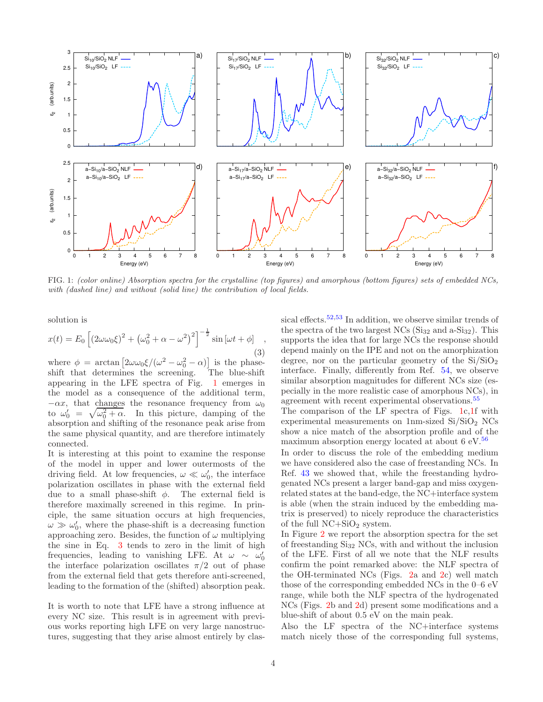

FIG. 1: *(color online) Absorption spectra for the crystalline (top figures) and amorphous (bottom figures) sets of embedded NCs, with (dashed line) and without (solid line) the contribution of local fields.*

solution is

$$
x(t) = E_0 \left[ \left( 2\omega\omega_0 \xi \right)^2 + \left( \omega_0^2 + \alpha - \omega^2 \right)^2 \right]^{-\frac{1}{2}} \sin\left[\omega t + \phi\right] \quad , \tag{3}
$$

where  $\phi = \arctan \left[ 2\omega \omega_0 \xi / (\omega^2 - \omega_0^2 - \alpha) \right]$  is the phaseshift that determines the screening. The blue-shift appearing in the LFE spectra of Fig. 1 emerges in the model as a consequence of the additional term,  $-\alpha x$ , that changes the resonance frequency from  $\omega_0$ to  $\omega'_0 = \sqrt{\omega_0^2 + \alpha}$ . In this picture, damping of the absorption and shifting of the resonance peak arise from the same physical quantity, and are therefore intimately connected.

It is interesting at this point to examine the response of the model in upper and lower outermosts of the driving field. At low frequencies,  $\omega \ll \omega_0'$ , the interface polarization oscillates in phase with the external field due to a small phase-shift  $\phi$ . The external field is therefore maximally screened in this regime. In principle, the same situation occurs at high frequencies,  $\omega \gg \omega_0'$ , where the phase-shift is a decreasing function approaching zero. Besides, the function of  $\omega$  multiplying the sine in Eq. 3 tends to zero in the limit of high frequencies, leading to vanishing LFE. At  $\omega \sim \omega'_0$ the interface polarization oscillates  $\pi/2$  out of phase from the external field that gets therefore anti-screened, leading to the formation of the (shifted) absorption peak.

It is worth to note that LFE have a strong influence at every NC size. This result is in agreement with previous works reporting high LFE on very large nanostructures, suggesting that they arise almost entirely by classical effects.<sup>52,53</sup> In addition, we observe similar trends of the spectra of the two largest NCs  $(Si_{32}$  and a- $Si_{32}$ ). This supports the idea that for large NCs the response should depend mainly on the IPE and not on the amorphization degree, nor on the particular geometry of the  $Si/SiO<sub>2</sub>$ interface. Finally, differently from Ref. 54, we observe similar absorption magnitudes for different NCs size (especially in the more realistic case of amorphous NCs), in agreement with recent experimental observations.<sup>55</sup>

The comparison of the LF spectra of Figs. 1c,1f with experimental measurements on  $1<sub>nm</sub>$ -sized  $Si/SiO<sub>2</sub> NCs$ show a nice match of the absorption profile and of the maximum absorption energy located at about  $6 \text{ eV}$ .<sup>56</sup>

In order to discuss the role of the embedding medium we have considered also the case of freestanding NCs. In Ref. 43 we showed that, while the freestanding hydrogenated NCs present a larger band-gap and miss oxygenrelated states at the band-edge, the NC+interface system is able (when the strain induced by the embedding matrix is preserved) to nicely reproduce the characteristics of the full  $NC+SiO<sub>2</sub>$  system.

In Figure 2 we report the absorption spectra for the set of freestanding  $Si_{32}$  NCs, with and without the inclusion of the LFE. First of all we note that the NLF results confirm the point remarked above: the NLF spectra of the OH-terminated NCs (Figs. 2a and 2c) well match those of the corresponding embedded NCs in the 0–6 eV range, while both the NLF spectra of the hydrogenated NCs (Figs. 2b and 2d) present some modifications and a blue-shift of about 0.5 eV on the main peak.

Also the LF spectra of the NC+interface systems match nicely those of the corresponding full systems,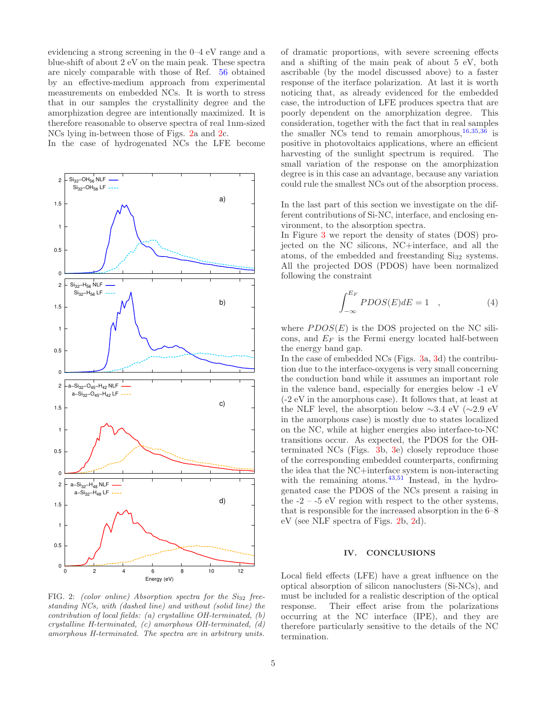evidencing a strong screening in the 0–4 eV range and a blue-shift of about 2 eV on the main peak. These spectra are nicely comparable with those of Ref. 56 obtained by an effective-medium approach from experimental measurements on embedded NCs. It is worth to stress that in our samples the crystallinity degree and the amorphization degree are intentionally maximized. It is therefore reasonable to observe spectra of real 1nm-sized NCs lying in-between those of Figs. 2a and 2c.

In the case of hydrogenated NCs the LFE become



FIG. 2: *(color online) Absorption spectra for the Si*<sup>32</sup> *freestanding NCs, with (dashed line) and without (solid line) the contribution of local fields: (a) crystalline OH-terminated, (b) crystalline H-terminated, (c) amorphous OH-terminated, (d) amorphous H-terminated. The spectra are in arbitrary units.*

of dramatic proportions, with severe screening effects and a shifting of the main peak of about 5 eV, both ascribable (by the model discussed above) to a faster response of the iterface polarization. At last it is worth noticing that, as already evidenced for the embedded case, the introduction of LFE produces spectra that are poorly dependent on the amorphization degree. This consideration, together with the fact that in real samples the smaller NCs tend to remain amorphous,  $16,35,36$  is positive in photovoltaics applications, where an efficient harvesting of the sunlight spectrum is required. The small variation of the response on the amorphization degree is in this case an advantage, because any variation could rule the smallest NCs out of the absorption process.

In the last part of this section we investigate on the different contributions of Si-NC, interface, and enclosing environment, to the absorption spectra.

In Figure 3 we report the density of states (DOS) projected on the NC silicons, NC+interface, and all the atoms, of the embedded and freestanding  $Si<sub>32</sub>$  systems. All the projected DOS (PDOS) have been normalized following the constraint

$$
\int_{-\infty}^{E_F} PDOS(E)dE = 1 \quad , \tag{4}
$$

where  $PDOS(E)$  is the DOS projected on the NC silicons, and  $E_F$  is the Fermi energy located half-between the energy band gap.

In the case of embedded NCs (Figs. 3a, 3d) the contribution due to the interface-oxygens is very small concerning the conduction band while it assumes an important role in the valence band, especially for energies below -1 eV (-2 eV in the amorphous case). It follows that, at least at the NLF level, the absorption below ∼3.4 eV (∼2.9 eV in the amorphous case) is mostly due to states localized on the NC, while at higher energies also interface-to-NC transitions occur. As expected, the PDOS for the OHterminated NCs (Figs. 3b, 3e) closely reproduce those of the corresponding embedded counterparts, confirming the idea that the NC+interface system is non-interacting with the remaining atoms. $43,51$  Instead, in the hydrogenated case the PDOS of the NCs present a raising in the  $-2 - 5$  eV region with respect to the other systems, that is responsible for the increased absorption in the 6–8 eV (see NLF spectra of Figs. 2b, 2d).

## IV. CONCLUSIONS

Local field effects (LFE) have a great influence on the optical absorption of silicon nanoclusters (Si-NCs), and must be included for a realistic description of the optical response. Their effect arise from the polarizations occurring at the NC interface (IPE), and they are therefore particularly sensitive to the details of the NC termination.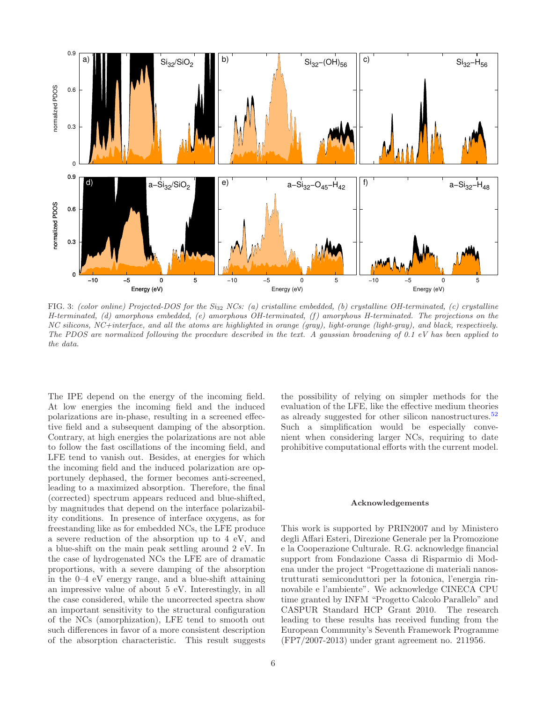

FIG. 3: *(color online) Projected-DOS for the Si*<sup>32</sup> *NCs: (a) cristalline embedded, (b) crystalline OH-terminated, (c) crystalline H-terminated, (d) amorphous embedded, (e) amorphous OH-terminated, (f) amorphous H-terminated. The projections on the NC silicons, NC+interface, and all the atoms are highlighted in orange (gray), light-orange (light-gray), and black, respectively. The PDOS are normalized following the procedure described in the text. A gaussian broadening of 0.1 eV has been applied to the data.*

The IPE depend on the energy of the incoming field. At low energies the incoming field and the induced polarizations are in-phase, resulting in a screened effective field and a subsequent damping of the absorption. Contrary, at high energies the polarizations are not able to follow the fast oscillations of the incoming field, and LFE tend to vanish out. Besides, at energies for which the incoming field and the induced polarization are opportunely dephased, the former becomes anti-screened, leading to a maximized absorption. Therefore, the final (corrected) spectrum appears reduced and blue-shifted, by magnitudes that depend on the interface polarizability conditions. In presence of interface oxygens, as for freestanding like as for embedded NCs, the LFE produce a severe reduction of the absorption up to 4 eV, and a blue-shift on the main peak settling around 2 eV. In the case of hydrogenated NCs the LFE are of dramatic proportions, with a severe damping of the absorption in the 0–4 eV energy range, and a blue-shift attaining an impressive value of about 5 eV. Interestingly, in all the case considered, while the uncorrected spectra show an important sensitivity to the structural configuration of the NCs (amorphization), LFE tend to smooth out such differences in favor of a more consistent description of the absorption characteristic. This result suggests

the possibility of relying on simpler methods for the evaluation of the LFE, like the effective medium theories as already suggested for other silicon nanostructures.<sup>52</sup> Such a simplification would be especially convenient when considering larger NCs, requiring to date prohibitive computational efforts with the current model.

#### Acknowledgements

This work is supported by PRIN2007 and by Ministero degli Affari Esteri, Direzione Generale per la Promozione e la Cooperazione Culturale. R.G. acknowledge financial support from Fondazione Cassa di Risparmio di Modena under the project "Progettazione di materiali nanostrutturati semiconduttori per la fotonica, l'energia rinnovabile e l'ambiente". We acknowledge CINECA CPU time granted by INFM "Progetto Calcolo Parallelo" and CASPUR Standard HCP Grant 2010. The research leading to these results has received funding from the European Community's Seventh Framework Programme (FP7/2007-2013) under grant agreement no. 211956.